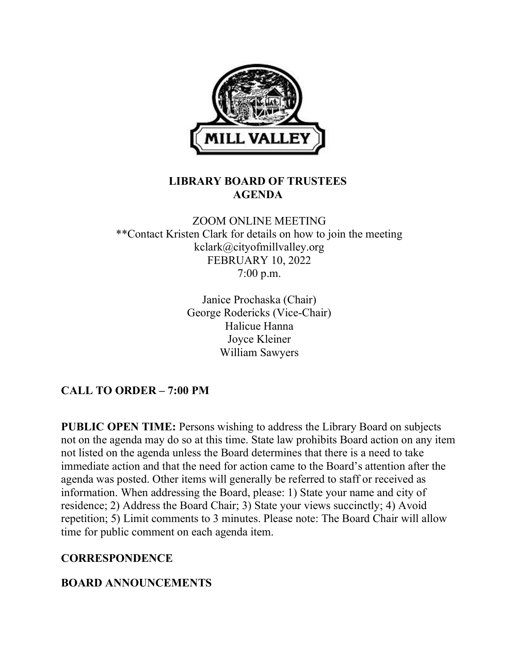

### LIBRARY BOARD OF TRUSTEES AGENDA

### ZOOM ONLINE MEETING \*\*Contact Kristen Clark for details on how to join the meeting kclark@cityofmillvalley.org FEBRUARY 10, 2022 7:00 p.m.

Janice Prochaska (Chair) George Rodericks (Vice-Chair) Halicue Hanna Joyce Kleiner William Sawyers

# CALL TO ORDER – 7:00 PM

PUBLIC OPEN TIME: Persons wishing to address the Library Board on subjects not on the agenda may do so at this time. State law prohibits Board action on any item not listed on the agenda unless the Board determines that there is a need to take immediate action and that the need for action came to the Board's attention after the agenda was posted. Other items will generally be referred to staff or received as information. When addressing the Board, please: 1) State your name and city of residence; 2) Address the Board Chair; 3) State your views succinctly; 4) Avoid repetition; 5) Limit comments to 3 minutes. Please note: The Board Chair will allow time for public comment on each agenda item.

#### **CORRESPONDENCE**

### BOARD ANNOUNCEMENTS